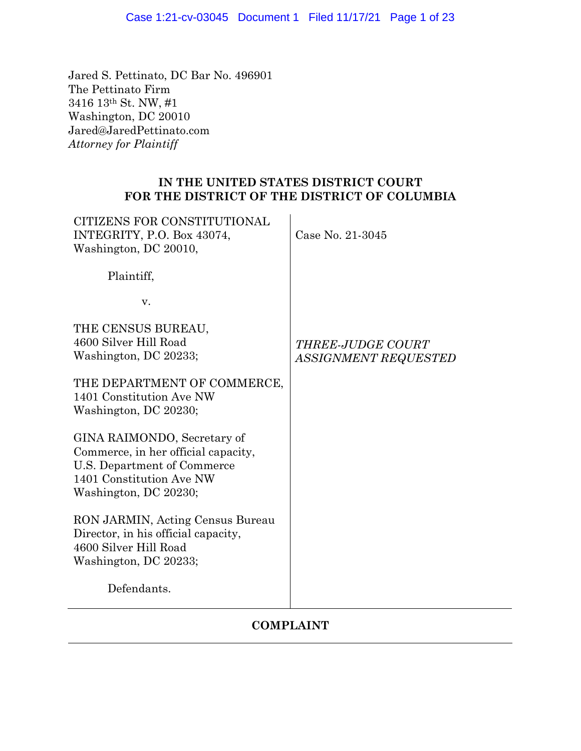# Case 1:21-cv-03045 Document 1 Filed 11/17/21 Page 1 of 23

Jared S. Pettinato, DC Bar No. 496901 The Pettinato Firm 3416 13th St. NW, #1 Washington, DC 20010 Jared@JaredPettinato.com *Attorney for Plaintiff* 

# **IN THE UNITED STATES DISTRICT COURT FOR THE DISTRICT OF THE DISTRICT OF COLUMBIA**

| CITIZENS FOR CONSTITUTIONAL<br>INTEGRITY, P.O. Box 43074,<br>Washington, DC 20010,                                                                     | Case No. 21-3045                                 |
|--------------------------------------------------------------------------------------------------------------------------------------------------------|--------------------------------------------------|
| Plaintiff,                                                                                                                                             |                                                  |
| V.                                                                                                                                                     |                                                  |
| THE CENSUS BUREAU,<br>4600 Silver Hill Road<br>Washington, DC 20233;                                                                                   | <b>THREE-JUDGE COURT</b><br>ASSIGNMENT REQUESTED |
| THE DEPARTMENT OF COMMERCE,<br>1401 Constitution Ave NW<br>Washington, DC 20230;                                                                       |                                                  |
| GINA RAIMONDO, Secretary of<br>Commerce, in her official capacity,<br>U.S. Department of Commerce<br>1401 Constitution Ave NW<br>Washington, DC 20230; |                                                  |
| RON JARMIN, Acting Census Bureau<br>Director, in his official capacity,<br>4600 Silver Hill Road<br>Washington, DC 20233;                              |                                                  |
| Defendants.                                                                                                                                            |                                                  |

# **COMPLAINT**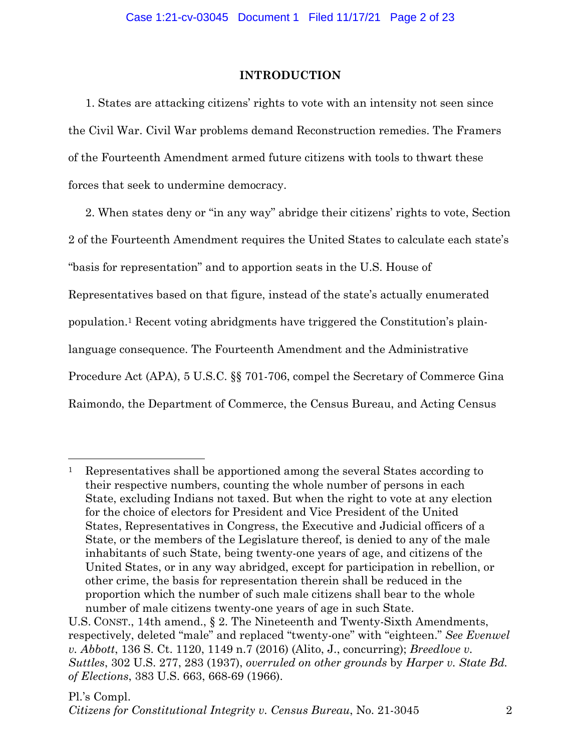# **INTRODUCTION**

1. States are attacking citizens' rights to vote with an intensity not seen since the Civil War. Civil War problems demand Reconstruction remedies. The Framers of the Fourteenth Amendment armed future citizens with tools to thwart these forces that seek to undermine democracy.

2. When states deny or "in any way" abridge their citizens' rights to vote, Section 2 of the Fourteenth Amendment requires the United States to calculate each state's "basis for representation" and to apportion seats in the U.S. House of Representatives based on that figure, instead of the state's actually enumerated population.1 Recent voting abridgments have triggered the Constitution's plainlanguage consequence. The Fourteenth Amendment and the Administrative Procedure Act (APA), 5 U.S.C. §§ 701-706, compel the Secretary of Commerce Gina Raimondo, the Department of Commerce, the Census Bureau, and Acting Census

<sup>1</sup> Representatives shall be apportioned among the several States according to their respective numbers, counting the whole number of persons in each State, excluding Indians not taxed. But when the right to vote at any election for the choice of electors for President and Vice President of the United States, Representatives in Congress, the Executive and Judicial officers of a State, or the members of the Legislature thereof, is denied to any of the male inhabitants of such State, being twenty-one years of age, and citizens of the United States, or in any way abridged, except for participation in rebellion, or other crime, the basis for representation therein shall be reduced in the proportion which the number of such male citizens shall bear to the whole number of male citizens twenty-one years of age in such State.

U.S. CONST., 14th amend., § 2. The Nineteenth and Twenty-Sixth Amendments, respectively, deleted "male" and replaced "twenty-one" with "eighteen." *See Evenwel v. Abbott*, 136 S. Ct. 1120, 1149 n.7 (2016) (Alito, J., concurring); *Breedlove v. Suttles*, 302 U.S. 277, 283 (1937), *overruled on other grounds* by *Harper v. State Bd. of Elections*, 383 U.S. 663, 668-69 (1966).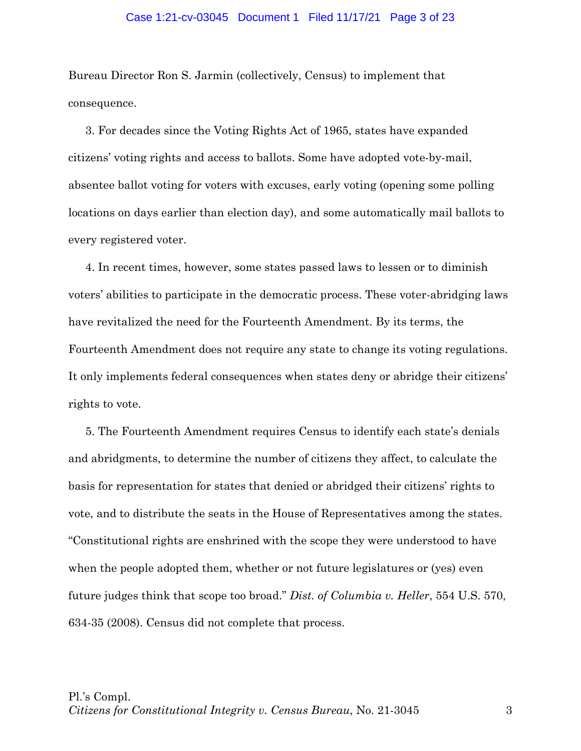## Case 1:21-cv-03045 Document 1 Filed 11/17/21 Page 3 of 23

Bureau Director Ron S. Jarmin (collectively, Census) to implement that consequence.

3. For decades since the Voting Rights Act of 1965, states have expanded citizens' voting rights and access to ballots. Some have adopted vote-by-mail, absentee ballot voting for voters with excuses, early voting (opening some polling locations on days earlier than election day), and some automatically mail ballots to every registered voter.

4. In recent times, however, some states passed laws to lessen or to diminish voters' abilities to participate in the democratic process. These voter-abridging laws have revitalized the need for the Fourteenth Amendment. By its terms, the Fourteenth Amendment does not require any state to change its voting regulations. It only implements federal consequences when states deny or abridge their citizens' rights to vote.

5. The Fourteenth Amendment requires Census to identify each state's denials and abridgments, to determine the number of citizens they affect, to calculate the basis for representation for states that denied or abridged their citizens' rights to vote, and to distribute the seats in the House of Representatives among the states. "Constitutional rights are enshrined with the scope they were understood to have when the people adopted them, whether or not future legislatures or (yes) even future judges think that scope too broad." *Dist. of Columbia v. Heller*, 554 U.S. 570, 634-35 (2008). Census did not complete that process.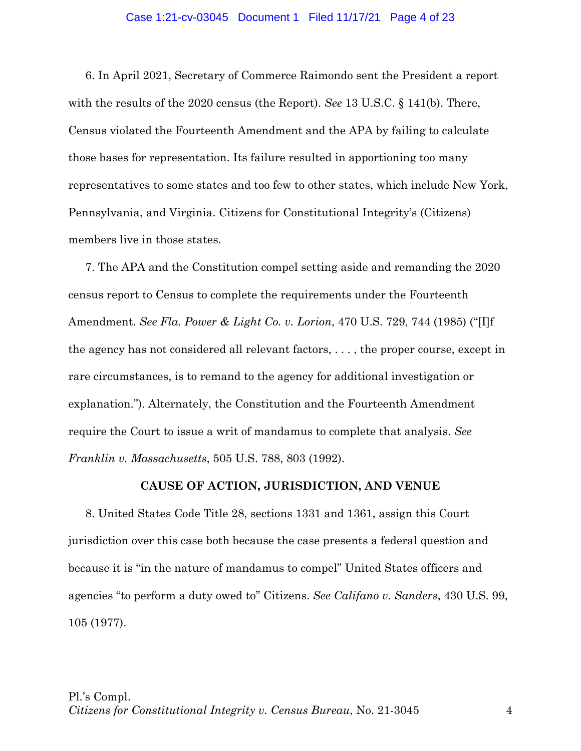### Case 1:21-cv-03045 Document 1 Filed 11/17/21 Page 4 of 23

6. In April 2021, Secretary of Commerce Raimondo sent the President a report with the results of the 2020 census (the Report). *See* 13 U.S.C. § 141(b). There, Census violated the Fourteenth Amendment and the APA by failing to calculate those bases for representation. Its failure resulted in apportioning too many representatives to some states and too few to other states, which include New York, Pennsylvania, and Virginia. Citizens for Constitutional Integrity's (Citizens) members live in those states.

7. The APA and the Constitution compel setting aside and remanding the 2020 census report to Census to complete the requirements under the Fourteenth Amendment. *See Fla. Power & Light Co. v. Lorion*, 470 U.S. 729, 744 (1985) ("[I]f the agency has not considered all relevant factors, . . . , the proper course, except in rare circumstances, is to remand to the agency for additional investigation or explanation."). Alternately, the Constitution and the Fourteenth Amendment require the Court to issue a writ of mandamus to complete that analysis. *See Franklin v. Massachusetts*, 505 U.S. 788, 803 (1992).

## **CAUSE OF ACTION, JURISDICTION, AND VENUE**

8. United States Code Title 28, sections 1331 and 1361, assign this Court jurisdiction over this case both because the case presents a federal question and because it is "in the nature of mandamus to compel" United States officers and agencies "to perform a duty owed to" Citizens. *See Califano v. Sanders*, 430 U.S. 99, 105 (1977).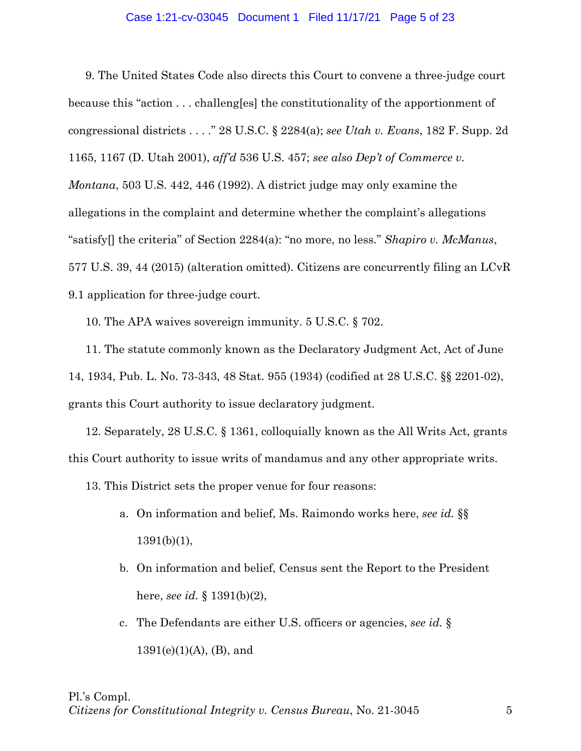## Case 1:21-cv-03045 Document 1 Filed 11/17/21 Page 5 of 23

9. The United States Code also directs this Court to convene a three-judge court because this "action . . . challeng[es] the constitutionality of the apportionment of congressional districts . . . ." 28 U.S.C. § 2284(a); *see Utah v. Evans*, 182 F. Supp. 2d 1165, 1167 (D. Utah 2001), *aff'd* 536 U.S. 457; *see also Dep't of Commerce v. Montana*, 503 U.S. 442, 446 (1992). A district judge may only examine the allegations in the complaint and determine whether the complaint's allegations "satisfy[] the criteria" of Section 2284(a): "no more, no less." *Shapiro v. McManus*, 577 U.S. 39, 44 (2015) (alteration omitted). Citizens are concurrently filing an LCvR 9.1 application for three-judge court.

10. The APA waives sovereign immunity. 5 U.S.C. § 702.

11. The statute commonly known as the Declaratory Judgment Act, Act of June 14, 1934, Pub. L. No. 73-343, 48 Stat. 955 (1934) (codified at 28 U.S.C. §§ 2201-02), grants this Court authority to issue declaratory judgment.

12. Separately, 28 U.S.C. § 1361, colloquially known as the All Writs Act, grants this Court authority to issue writs of mandamus and any other appropriate writs.

13. This District sets the proper venue for four reasons:

- a. On information and belief, Ms. Raimondo works here, *see id.* §§  $1391(b)(1)$ ,
- b. On information and belief, Census sent the Report to the President here, *see id.* § 1391(b)(2),
- c. The Defendants are either U.S. officers or agencies, *see id.* § 1391(e)(1)(A), (B), and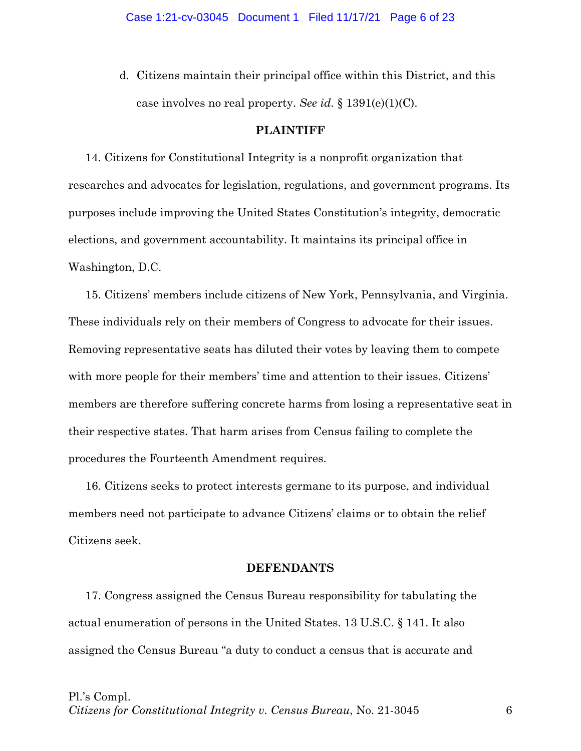d. Citizens maintain their principal office within this District, and this case involves no real property. *See id.* § 1391(e)(1)(C).

# **PLAINTIFF**

14. Citizens for Constitutional Integrity is a nonprofit organization that researches and advocates for legislation, regulations, and government programs. Its purposes include improving the United States Constitution's integrity, democratic elections, and government accountability. It maintains its principal office in Washington, D.C.

15. Citizens' members include citizens of New York, Pennsylvania, and Virginia. These individuals rely on their members of Congress to advocate for their issues. Removing representative seats has diluted their votes by leaving them to compete with more people for their members' time and attention to their issues. Citizens' members are therefore suffering concrete harms from losing a representative seat in their respective states. That harm arises from Census failing to complete the procedures the Fourteenth Amendment requires.

16. Citizens seeks to protect interests germane to its purpose, and individual members need not participate to advance Citizens' claims or to obtain the relief Citizens seek.

# **DEFENDANTS**

17. Congress assigned the Census Bureau responsibility for tabulating the actual enumeration of persons in the United States. 13 U.S.C. § 141. It also assigned the Census Bureau "a duty to conduct a census that is accurate and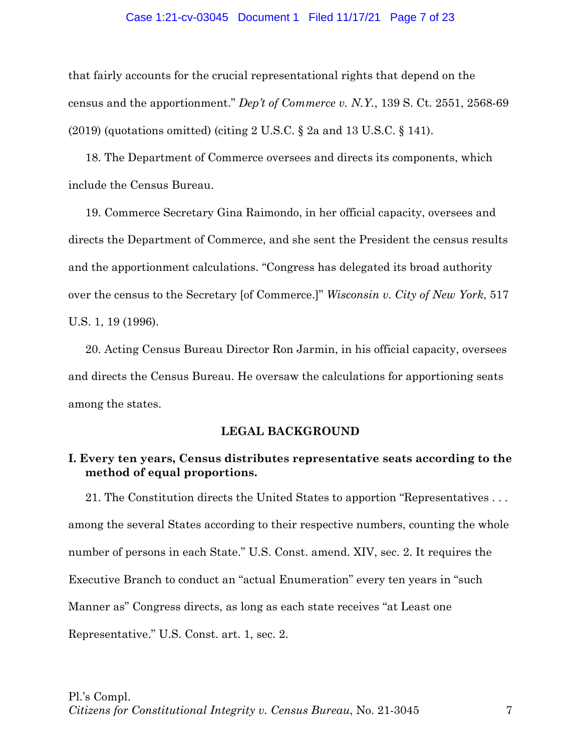### Case 1:21-cv-03045 Document 1 Filed 11/17/21 Page 7 of 23

that fairly accounts for the crucial representational rights that depend on the census and the apportionment." *Dep't of Commerce v. N.Y.*, 139 S. Ct. 2551, 2568-69 (2019) (quotations omitted) (citing 2 U.S.C. § 2a and 13 U.S.C. § 141).

18. The Department of Commerce oversees and directs its components, which include the Census Bureau.

19. Commerce Secretary Gina Raimondo, in her official capacity, oversees and directs the Department of Commerce, and she sent the President the census results and the apportionment calculations. "Congress has delegated its broad authority over the census to the Secretary [of Commerce.]" *Wisconsin v. City of New York*, 517 U.S. 1, 19 (1996).

20. Acting Census Bureau Director Ron Jarmin, in his official capacity, oversees and directs the Census Bureau. He oversaw the calculations for apportioning seats among the states.

# **LEGAL BACKGROUND**

# **I. Every ten years, Census distributes representative seats according to the method of equal proportions.**

21. The Constitution directs the United States to apportion "Representatives . . . among the several States according to their respective numbers, counting the whole number of persons in each State." U.S. Const. amend. XIV, sec. 2. It requires the Executive Branch to conduct an "actual Enumeration" every ten years in "such Manner as" Congress directs, as long as each state receives "at Least one Representative." U.S. Const. art. 1, sec. 2.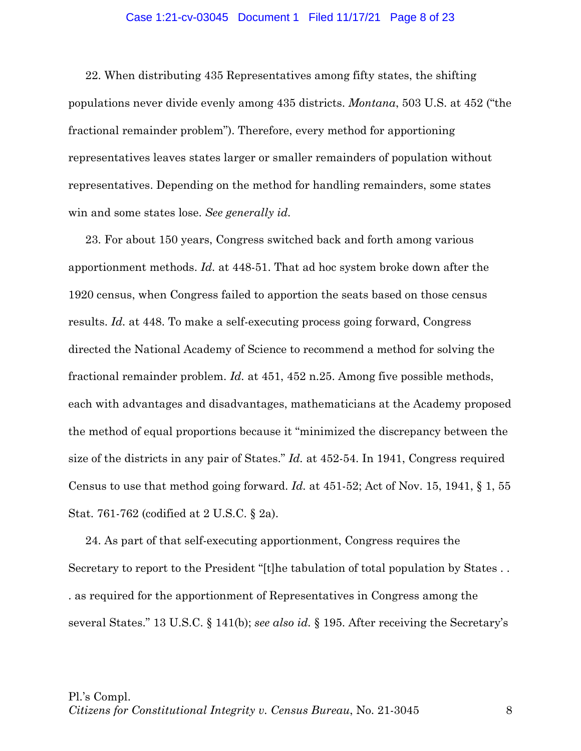## Case 1:21-cv-03045 Document 1 Filed 11/17/21 Page 8 of 23

22. When distributing 435 Representatives among fifty states, the shifting populations never divide evenly among 435 districts. *Montana*, 503 U.S. at 452 ("the fractional remainder problem"). Therefore, every method for apportioning representatives leaves states larger or smaller remainders of population without representatives. Depending on the method for handling remainders, some states win and some states lose. *See generally id.*

23. For about 150 years, Congress switched back and forth among various apportionment methods. *Id.* at 448-51. That ad hoc system broke down after the 1920 census, when Congress failed to apportion the seats based on those census results. *Id.* at 448. To make a self-executing process going forward, Congress directed the National Academy of Science to recommend a method for solving the fractional remainder problem. *Id.* at 451, 452 n.25. Among five possible methods, each with advantages and disadvantages, mathematicians at the Academy proposed the method of equal proportions because it "minimized the discrepancy between the size of the districts in any pair of States." *Id.* at 452-54. In 1941, Congress required Census to use that method going forward. *Id.* at 451-52; Act of Nov. 15, 1941, § 1, 55 Stat. 761-762 (codified at 2 U.S.C. § 2a).

24. As part of that self-executing apportionment, Congress requires the Secretary to report to the President "[t]he tabulation of total population by States . . . as required for the apportionment of Representatives in Congress among the several States." 13 U.S.C. § 141(b); *see also id.* § 195. After receiving the Secretary's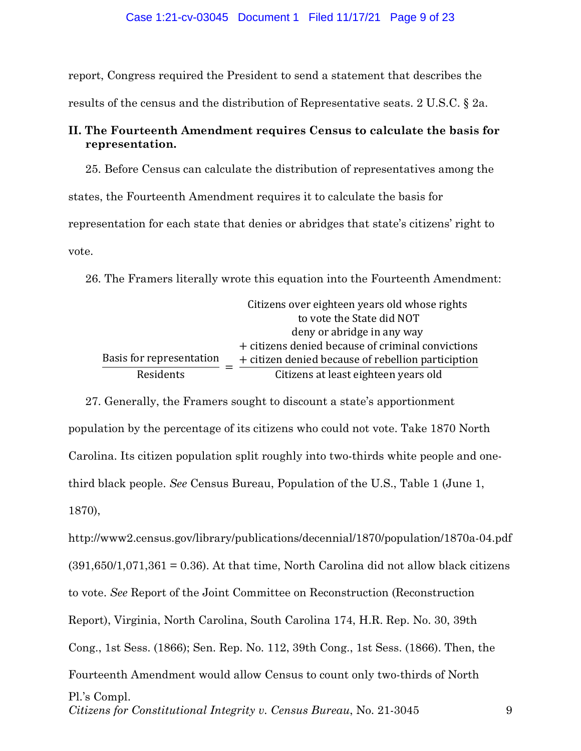report, Congress required the President to send a statement that describes the results of the census and the distribution of Representative seats. 2 U.S.C. § 2a.

# **II. The Fourteenth Amendment requires Census to calculate the basis for representation.**

25. Before Census can calculate the distribution of representatives among the states, the Fourteenth Amendment requires it to calculate the basis for representation for each state that denies or abridges that state's citizens' right to vote.

26. The Framers literally wrote this equation into the Fourteenth Amendment:

|                          | Citizens over eighteen years old whose rights      |
|--------------------------|----------------------------------------------------|
|                          | to vote the State did NOT                          |
|                          | deny or abridge in any way                         |
|                          | + citizens denied because of criminal convictions  |
| Basis for representation | + citizen denied because of rebellion particiption |
| Residents                | Citizens at least eighteen years old               |

27. Generally, the Framers sought to discount a state's apportionment population by the percentage of its citizens who could not vote. Take 1870 North Carolina. Its citizen population split roughly into two-thirds white people and onethird black people. *See* Census Bureau, Population of the U.S., Table 1 (June 1, 1870),

Pl.'s Compl. *Citizens for Constitutional Integrity v. Census Bureau*, No. 21-3045 9 http://www2.census.gov/library/publications/decennial/1870/population/1870a-04.pdf  $(391,650/1,071,361 = 0.36)$ . At that time, North Carolina did not allow black citizens to vote. *See* Report of the Joint Committee on Reconstruction (Reconstruction Report), Virginia, North Carolina, South Carolina 174, H.R. Rep. No. 30, 39th Cong., 1st Sess. (1866); Sen. Rep. No. 112, 39th Cong., 1st Sess. (1866). Then, the Fourteenth Amendment would allow Census to count only two-thirds of North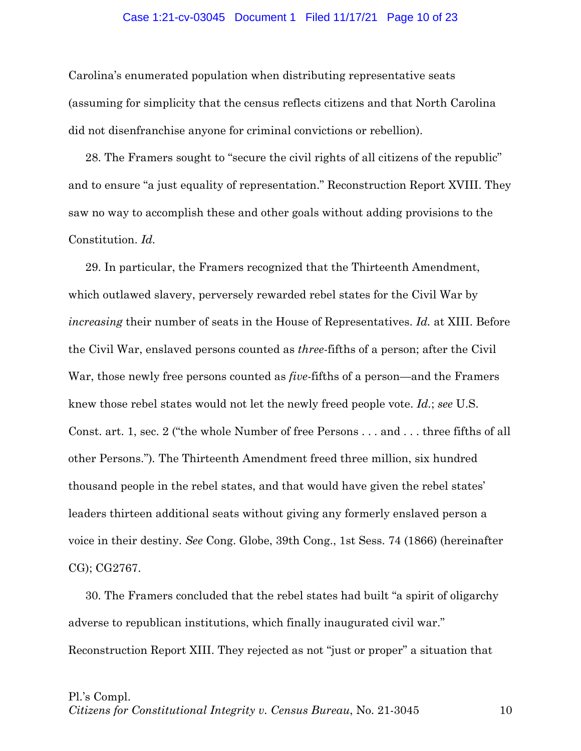#### Case 1:21-cv-03045 Document 1 Filed 11/17/21 Page 10 of 23

Carolina's enumerated population when distributing representative seats (assuming for simplicity that the census reflects citizens and that North Carolina did not disenfranchise anyone for criminal convictions or rebellion).

28. The Framers sought to "secure the civil rights of all citizens of the republic" and to ensure "a just equality of representation." Reconstruction Report XVIII. They saw no way to accomplish these and other goals without adding provisions to the Constitution. *Id.*

29. In particular, the Framers recognized that the Thirteenth Amendment, which outlawed slavery, perversely rewarded rebel states for the Civil War by *increasing* their number of seats in the House of Representatives. *Id.* at XIII. Before the Civil War, enslaved persons counted as *three*-fifths of a person; after the Civil War, those newly free persons counted as *five*-fifths of a person—and the Framers knew those rebel states would not let the newly freed people vote. *Id.*; *see* U.S. Const. art. 1, sec. 2 ("the whole Number of free Persons . . . and . . . three fifths of all other Persons.")*.* The Thirteenth Amendment freed three million, six hundred thousand people in the rebel states, and that would have given the rebel states' leaders thirteen additional seats without giving any formerly enslaved person a voice in their destiny. *See* Cong. Globe, 39th Cong., 1st Sess. 74 (1866) (hereinafter CG); CG2767.

30. The Framers concluded that the rebel states had built "a spirit of oligarchy adverse to republican institutions, which finally inaugurated civil war." Reconstruction Report XIII. They rejected as not "just or proper" a situation that

#### Pl.'s Compl.

*Citizens for Constitutional Integrity v. Census Bureau*, No. 21-3045 10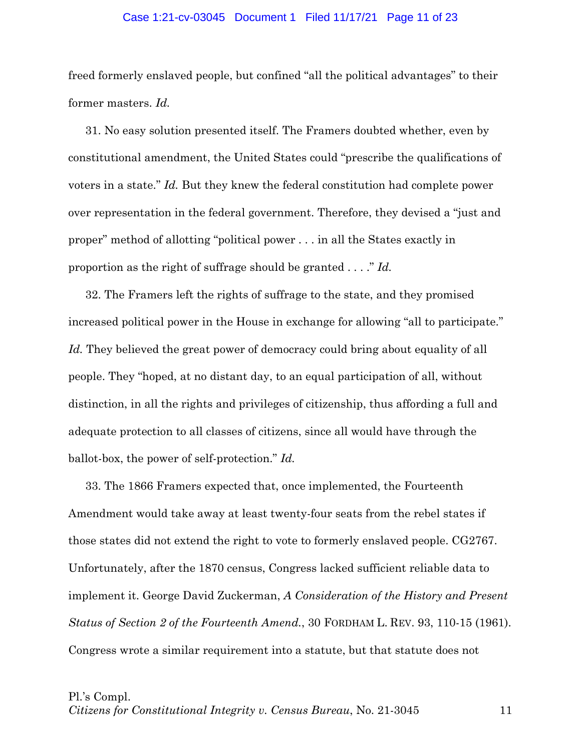## Case 1:21-cv-03045 Document 1 Filed 11/17/21 Page 11 of 23

freed formerly enslaved people, but confined "all the political advantages" to their former masters. *Id.*

31. No easy solution presented itself. The Framers doubted whether, even by constitutional amendment, the United States could "prescribe the qualifications of voters in a state." *Id.* But they knew the federal constitution had complete power over representation in the federal government. Therefore, they devised a "just and proper" method of allotting "political power . . . in all the States exactly in proportion as the right of suffrage should be granted . . . ." *Id.*

32. The Framers left the rights of suffrage to the state, and they promised increased political power in the House in exchange for allowing "all to participate." Id. They believed the great power of democracy could bring about equality of all people. They "hoped, at no distant day, to an equal participation of all, without distinction, in all the rights and privileges of citizenship, thus affording a full and adequate protection to all classes of citizens, since all would have through the ballot-box, the power of self-protection." *Id.* 

33. The 1866 Framers expected that, once implemented, the Fourteenth Amendment would take away at least twenty-four seats from the rebel states if those states did not extend the right to vote to formerly enslaved people. CG2767. Unfortunately, after the 1870 census, Congress lacked sufficient reliable data to implement it. George David Zuckerman, *A Consideration of the History and Present Status of Section 2 of the Fourteenth Amend.*, 30 FORDHAM L. REV. 93, 110-15 (1961). Congress wrote a similar requirement into a statute, but that statute does not

Pl.'s Compl.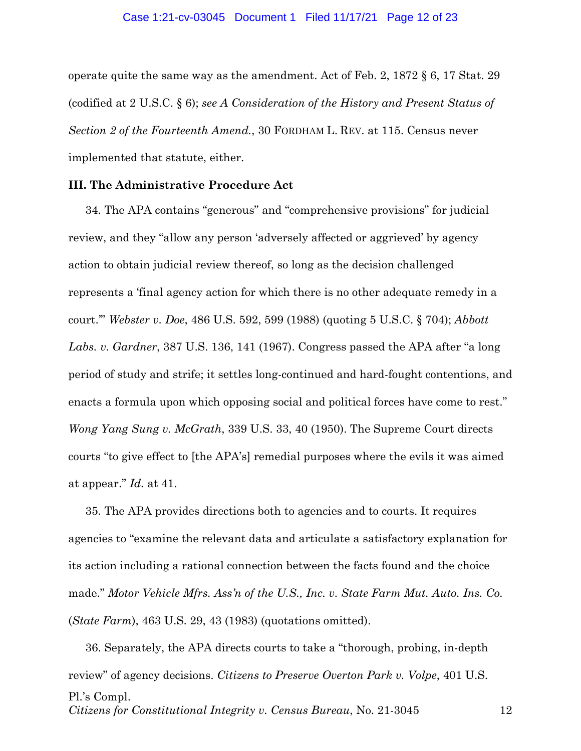## Case 1:21-cv-03045 Document 1 Filed 11/17/21 Page 12 of 23

operate quite the same way as the amendment. Act of Feb. 2, 1872 § 6, 17 Stat. 29 (codified at 2 U.S.C. § 6); *see A Consideration of the History and Present Status of Section 2 of the Fourteenth Amend.*, 30 FORDHAM L. REV. at 115. Census never implemented that statute, either.

# **III. The Administrative Procedure Act**

34. The APA contains "generous" and "comprehensive provisions" for judicial review, and they "allow any person 'adversely affected or aggrieved' by agency action to obtain judicial review thereof, so long as the decision challenged represents a 'final agency action for which there is no other adequate remedy in a court.'" *Webster v. Doe*, 486 U.S. 592, 599 (1988) (quoting 5 U.S.C. § 704); *Abbott Labs. v. Gardner*, 387 U.S. 136, 141 (1967). Congress passed the APA after "a long period of study and strife; it settles long-continued and hard-fought contentions, and enacts a formula upon which opposing social and political forces have come to rest." *Wong Yang Sung v. McGrath*, 339 U.S. 33, 40 (1950). The Supreme Court directs courts "to give effect to [the APA's] remedial purposes where the evils it was aimed at appear." *Id.* at 41.

35. The APA provides directions both to agencies and to courts. It requires agencies to "examine the relevant data and articulate a satisfactory explanation for its action including a rational connection between the facts found and the choice made." *Motor Vehicle Mfrs. Ass'n of the U.S., Inc. v. State Farm Mut. Auto. Ins. Co.*  (*State Farm*), 463 U.S. 29, 43 (1983) (quotations omitted).

Pl.'s Compl. *Citizens for Constitutional Integrity v. Census Bureau*, No. 21-3045 12 36. Separately, the APA directs courts to take a "thorough, probing, in-depth review" of agency decisions. *Citizens to Preserve Overton Park v. Volpe*, 401 U.S.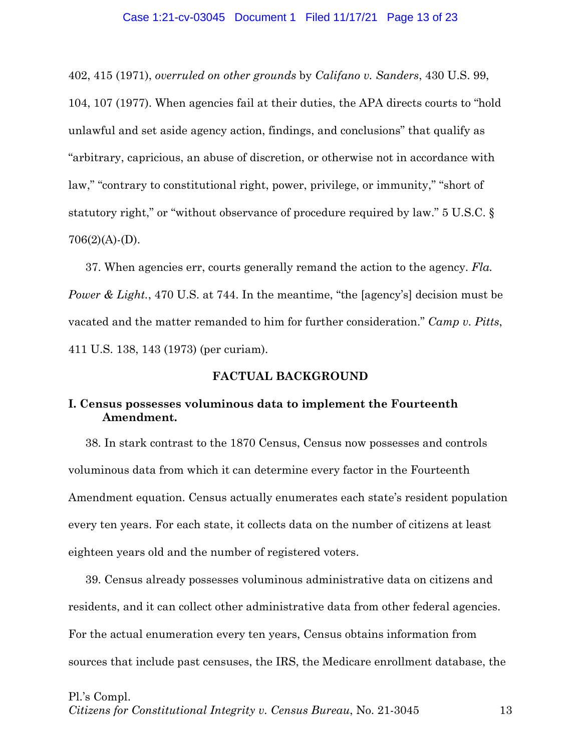## Case 1:21-cv-03045 Document 1 Filed 11/17/21 Page 13 of 23

402, 415 (1971), *overruled on other grounds* by *Califano v. Sanders*, 430 U.S. 99, 104, 107 (1977). When agencies fail at their duties, the APA directs courts to "hold unlawful and set aside agency action, findings, and conclusions" that qualify as "arbitrary, capricious, an abuse of discretion, or otherwise not in accordance with law," "contrary to constitutional right, power, privilege, or immunity," "short of statutory right," or "without observance of procedure required by law." 5 U.S.C. §  $706(2)(A)-(D)$ .

37. When agencies err, courts generally remand the action to the agency. *Fla. Power & Light.*, 470 U.S. at 744. In the meantime, "the [agency's] decision must be vacated and the matter remanded to him for further consideration." *Camp v. Pitts*, 411 U.S. 138, 143 (1973) (per curiam).

# **FACTUAL BACKGROUND**

# **I. Census possesses voluminous data to implement the Fourteenth Amendment.**

38. In stark contrast to the 1870 Census, Census now possesses and controls voluminous data from which it can determine every factor in the Fourteenth Amendment equation. Census actually enumerates each state's resident population every ten years. For each state, it collects data on the number of citizens at least eighteen years old and the number of registered voters.

39. Census already possesses voluminous administrative data on citizens and residents, and it can collect other administrative data from other federal agencies. For the actual enumeration every ten years, Census obtains information from sources that include past censuses, the IRS, the Medicare enrollment database, the

#### Pl.'s Compl.

*Citizens for Constitutional Integrity v. Census Bureau*, No. 21-3045 13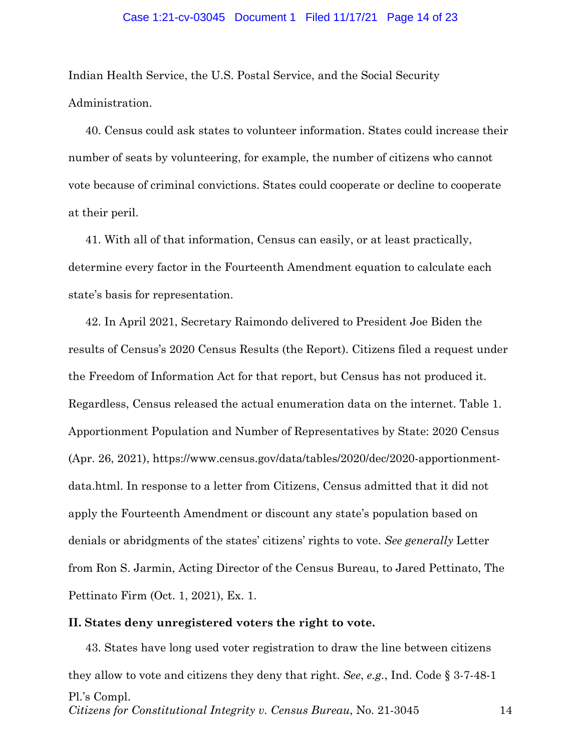#### Case 1:21-cv-03045 Document 1 Filed 11/17/21 Page 14 of 23

Indian Health Service, the U.S. Postal Service, and the Social Security Administration.

40. Census could ask states to volunteer information. States could increase their number of seats by volunteering, for example, the number of citizens who cannot vote because of criminal convictions. States could cooperate or decline to cooperate at their peril.

41. With all of that information, Census can easily, or at least practically, determine every factor in the Fourteenth Amendment equation to calculate each state's basis for representation.

42. In April 2021, Secretary Raimondo delivered to President Joe Biden the results of Census's 2020 Census Results (the Report). Citizens filed a request under the Freedom of Information Act for that report, but Census has not produced it. Regardless, Census released the actual enumeration data on the internet. Table 1. Apportionment Population and Number of Representatives by State: 2020 Census (Apr. 26, 2021), https://www.census.gov/data/tables/2020/dec/2020-apportionmentdata.html. In response to a letter from Citizens, Census admitted that it did not apply the Fourteenth Amendment or discount any state's population based on denials or abridgments of the states' citizens' rights to vote. *See generally* Letter from Ron S. Jarmin, Acting Director of the Census Bureau, to Jared Pettinato, The Pettinato Firm (Oct. 1, 2021), Ex. 1.

# **II. States deny unregistered voters the right to vote.**

Pl.'s Compl. *Citizens for Constitutional Integrity v. Census Bureau*, No. 21-3045 14 43. States have long used voter registration to draw the line between citizens they allow to vote and citizens they deny that right. *See*, *e.g.*, Ind. Code § 3-7-48-1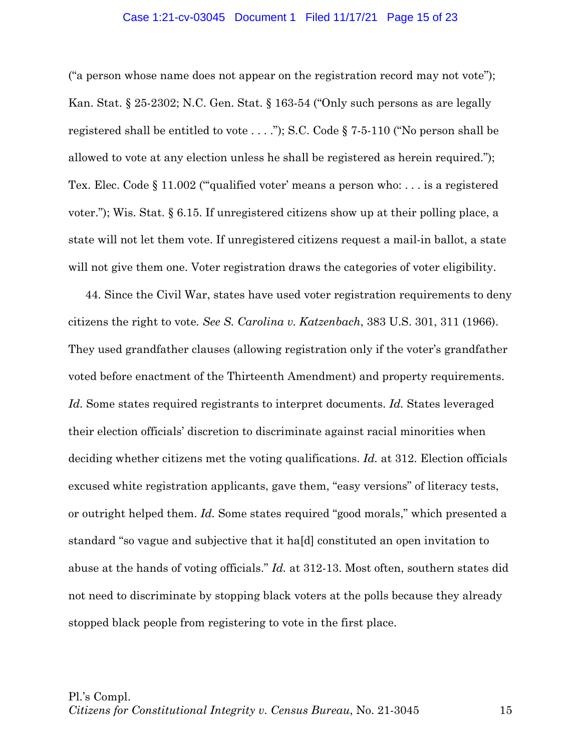## Case 1:21-cv-03045 Document 1 Filed 11/17/21 Page 15 of 23

("a person whose name does not appear on the registration record may not vote"); Kan. Stat. § 25-2302; N.C. Gen. Stat. § 163-54 ("Only such persons as are legally registered shall be entitled to vote . . . ."); S.C. Code § 7-5-110 ("No person shall be allowed to vote at any election unless he shall be registered as herein required."); Tex. Elec. Code § 11.002 (""qualified voter' means a person who: . . . is a registered voter."); Wis. Stat. § 6.15. If unregistered citizens show up at their polling place, a state will not let them vote. If unregistered citizens request a mail-in ballot, a state will not give them one. Voter registration draws the categories of voter eligibility.

44. Since the Civil War, states have used voter registration requirements to deny citizens the right to vote*. See S. Carolina v. Katzenbach*, 383 U.S. 301, 311 (1966). They used grandfather clauses (allowing registration only if the voter's grandfather voted before enactment of the Thirteenth Amendment) and property requirements. *Id.* Some states required registrants to interpret documents. *Id.* States leveraged their election officials' discretion to discriminate against racial minorities when deciding whether citizens met the voting qualifications. *Id.* at 312. Election officials excused white registration applicants, gave them, "easy versions" of literacy tests, or outright helped them. *Id.* Some states required "good morals," which presented a standard "so vague and subjective that it ha[d] constituted an open invitation to abuse at the hands of voting officials." *Id.* at 312-13. Most often, southern states did not need to discriminate by stopping black voters at the polls because they already stopped black people from registering to vote in the first place.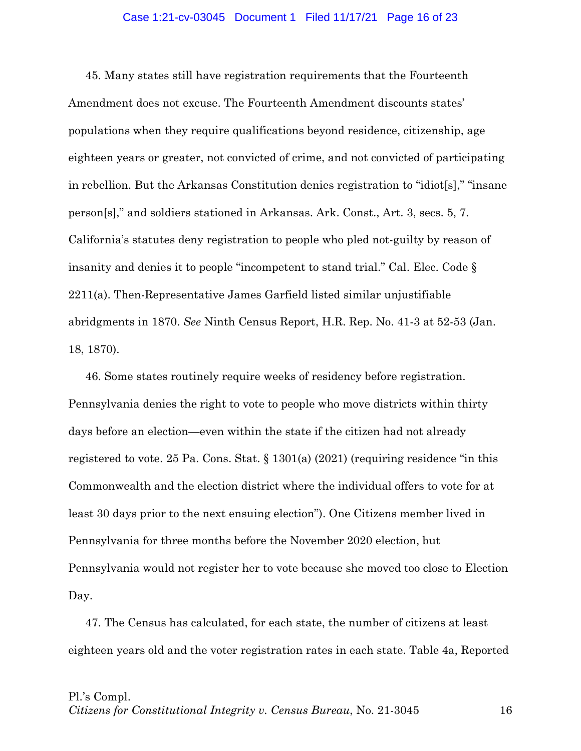## Case 1:21-cv-03045 Document 1 Filed 11/17/21 Page 16 of 23

45. Many states still have registration requirements that the Fourteenth Amendment does not excuse. The Fourteenth Amendment discounts states' populations when they require qualifications beyond residence, citizenship, age eighteen years or greater, not convicted of crime, and not convicted of participating in rebellion. But the Arkansas Constitution denies registration to "idiot[s]," "insane person[s]," and soldiers stationed in Arkansas. Ark. Const., Art. 3, secs. 5, 7. California's statutes deny registration to people who pled not-guilty by reason of insanity and denies it to people "incompetent to stand trial." Cal. Elec. Code § 2211(a). Then-Representative James Garfield listed similar unjustifiable abridgments in 1870. *See* Ninth Census Report, H.R. Rep. No. 41-3 at 52-53 (Jan. 18, 1870).

46. Some states routinely require weeks of residency before registration. Pennsylvania denies the right to vote to people who move districts within thirty days before an election—even within the state if the citizen had not already registered to vote. 25 Pa. Cons. Stat. § 1301(a) (2021) (requiring residence "in this Commonwealth and the election district where the individual offers to vote for at least 30 days prior to the next ensuing election"). One Citizens member lived in Pennsylvania for three months before the November 2020 election, but Pennsylvania would not register her to vote because she moved too close to Election Day.

47. The Census has calculated, for each state, the number of citizens at least eighteen years old and the voter registration rates in each state. Table 4a, Reported

#### Pl.'s Compl.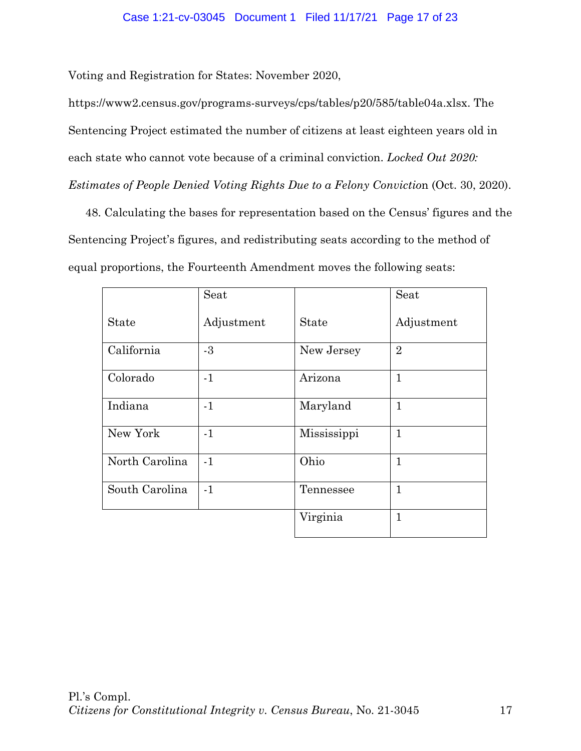# Case 1:21-cv-03045 Document 1 Filed 11/17/21 Page 17 of 23

Voting and Registration for States: November 2020,

https://www2.census.gov/programs-surveys/cps/tables/p20/585/table04a.xlsx. The Sentencing Project estimated the number of citizens at least eighteen years old in each state who cannot vote because of a criminal conviction. *Locked Out 2020: Estimates of People Denied Voting Rights Due to a Felony Conviction (Oct. 30, 2020).* 

48. Calculating the bases for representation based on the Census' figures and the Sentencing Project's figures, and redistributing seats according to the method of equal proportions, the Fourteenth Amendment moves the following seats:

|                | Seat       |              | Seat           |
|----------------|------------|--------------|----------------|
| <b>State</b>   | Adjustment | <b>State</b> | Adjustment     |
| California     | $-3$       | New Jersey   | $\overline{2}$ |
| Colorado       | $-1$       | Arizona      | $\mathbf{1}$   |
| Indiana        | $-1$       | Maryland     | $\mathbf{1}$   |
| New York       | $-1$       | Mississippi  | $\mathbf{1}$   |
| North Carolina | $-1$       | Ohio         | $\mathbf{1}$   |
| South Carolina | $-1$       | Tennessee    | $\mathbf{1}$   |
|                |            | Virginia     | $\overline{1}$ |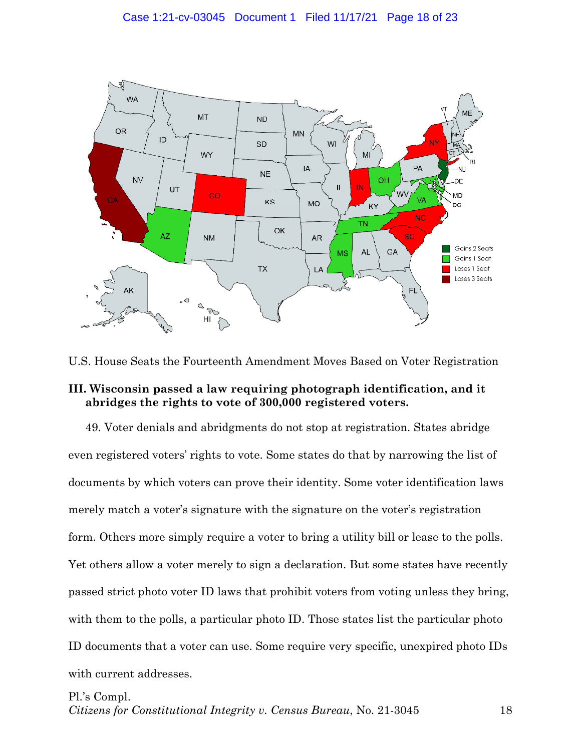

U.S. House Seats the Fourteenth Amendment Moves Based on Voter Registration

# **III. Wisconsin passed a law requiring photograph identification, and it abridges the rights to vote of 300,000 registered voters.**

49. Voter denials and abridgments do not stop at registration. States abridge even registered voters' rights to vote. Some states do that by narrowing the list of documents by which voters can prove their identity. Some voter identification laws merely match a voter's signature with the signature on the voter's registration form. Others more simply require a voter to bring a utility bill or lease to the polls. Yet others allow a voter merely to sign a declaration. But some states have recently passed strict photo voter ID laws that prohibit voters from voting unless they bring, with them to the polls, a particular photo ID. Those states list the particular photo ID documents that a voter can use. Some require very specific, unexpired photo IDs with current addresses.

# Pl.'s Compl.

*Citizens for Constitutional Integrity v. Census Bureau*, No. 21-3045 18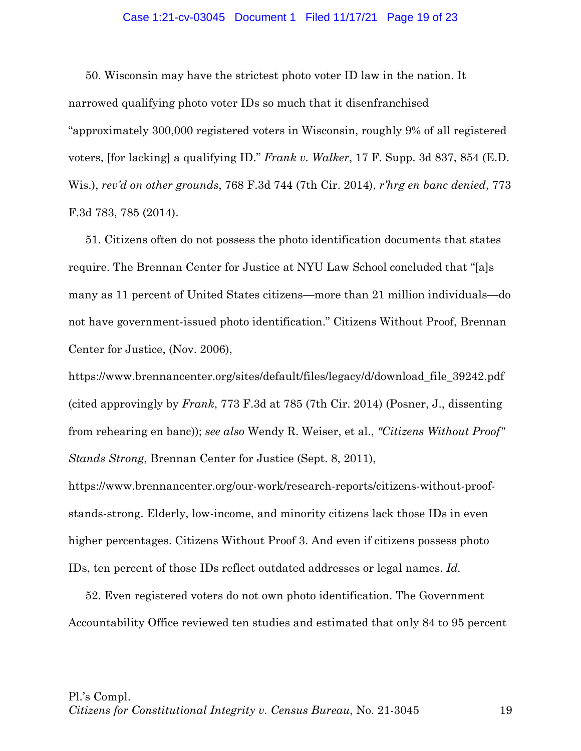## Case 1:21-cv-03045 Document 1 Filed 11/17/21 Page 19 of 23

50. Wisconsin may have the strictest photo voter ID law in the nation. It narrowed qualifying photo voter IDs so much that it disenfranchised "approximately 300,000 registered voters in Wisconsin, roughly 9% of all registered voters, [for lacking] a qualifying ID." *Frank v. Walker*, 17 F. Supp. 3d 837, 854 (E.D. Wis.), *rev'd on other grounds*, 768 F.3d 744 (7th Cir. 2014), *r'hrg en banc denied*, 773 F.3d 783, 785 (2014).

51. Citizens often do not possess the photo identification documents that states require. The Brennan Center for Justice at NYU Law School concluded that "[a]s many as 11 percent of United States citizens—more than 21 million individuals—do not have government-issued photo identification." Citizens Without Proof, Brennan Center for Justice, (Nov. 2006),

https://www.brennancenter.org/sites/default/files/legacy/d/download\_file\_39242.pdf (cited approvingly by *Frank*, 773 F.3d at 785 (7th Cir. 2014) (Posner, J., dissenting from rehearing en banc)); *see also* Wendy R. Weiser, et al., *"Citizens Without Proof" Stands Strong*, Brennan Center for Justice (Sept. 8, 2011),

https://www.brennancenter.org/our-work/research-reports/citizens-without-proofstands-strong. Elderly, low-income, and minority citizens lack those IDs in even higher percentages. Citizens Without Proof 3. And even if citizens possess photo IDs, ten percent of those IDs reflect outdated addresses or legal names. *Id.*

52. Even registered voters do not own photo identification. The Government Accountability Office reviewed ten studies and estimated that only 84 to 95 percent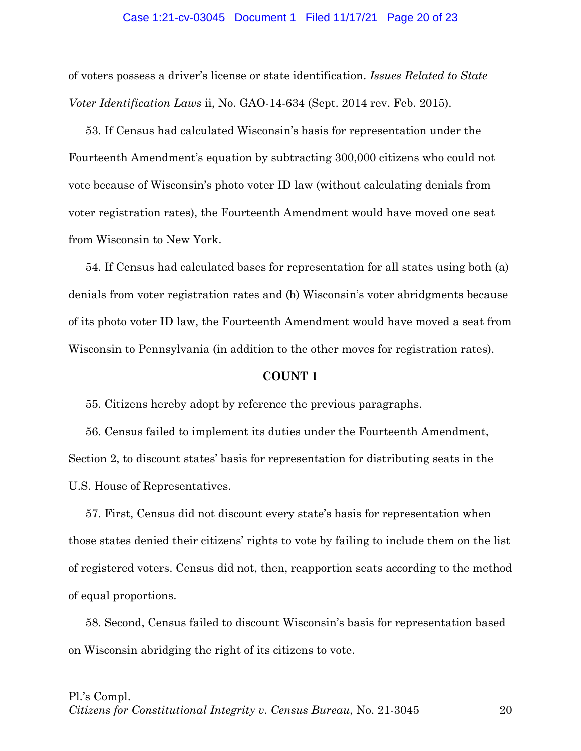#### Case 1:21-cv-03045 Document 1 Filed 11/17/21 Page 20 of 23

of voters possess a driver's license or state identification. *Issues Related to State Voter Identification Laws* ii, No. GAO-14-634 (Sept. 2014 rev. Feb. 2015).

53. If Census had calculated Wisconsin's basis for representation under the Fourteenth Amendment's equation by subtracting 300,000 citizens who could not vote because of Wisconsin's photo voter ID law (without calculating denials from voter registration rates), the Fourteenth Amendment would have moved one seat from Wisconsin to New York.

54. If Census had calculated bases for representation for all states using both (a) denials from voter registration rates and (b) Wisconsin's voter abridgments because of its photo voter ID law, the Fourteenth Amendment would have moved a seat from Wisconsin to Pennsylvania (in addition to the other moves for registration rates).

#### **COUNT 1**

55. Citizens hereby adopt by reference the previous paragraphs.

56. Census failed to implement its duties under the Fourteenth Amendment, Section 2, to discount states' basis for representation for distributing seats in the U.S. House of Representatives.

57. First, Census did not discount every state's basis for representation when those states denied their citizens' rights to vote by failing to include them on the list of registered voters. Census did not, then, reapportion seats according to the method of equal proportions.

58. Second, Census failed to discount Wisconsin's basis for representation based on Wisconsin abridging the right of its citizens to vote.

## Pl.'s Compl.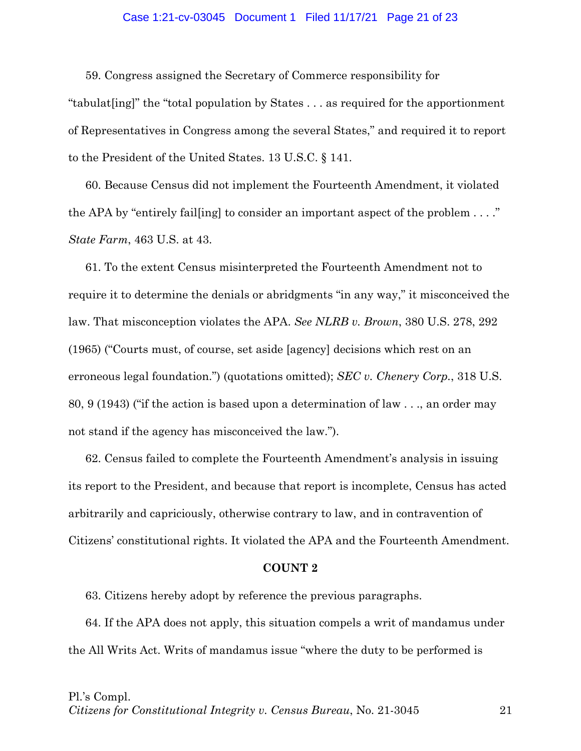## Case 1:21-cv-03045 Document 1 Filed 11/17/21 Page 21 of 23

59. Congress assigned the Secretary of Commerce responsibility for "tabulat[ing]" the "total population by States . . . as required for the apportionment of Representatives in Congress among the several States," and required it to report to the President of the United States. 13 U.S.C. § 141.

60. Because Census did not implement the Fourteenth Amendment, it violated the APA by "entirely fail[ing] to consider an important aspect of the problem . . . ." *State Farm*, 463 U.S. at 43.

61. To the extent Census misinterpreted the Fourteenth Amendment not to require it to determine the denials or abridgments "in any way," it misconceived the law. That misconception violates the APA. *See NLRB v. Brown*, 380 U.S. 278, 292 (1965) ("Courts must, of course, set aside [agency] decisions which rest on an erroneous legal foundation.") (quotations omitted); *SEC v. Chenery Corp.*, 318 U.S. 80, 9 (1943) ("if the action is based upon a determination of law . . ., an order may not stand if the agency has misconceived the law.").

62. Census failed to complete the Fourteenth Amendment's analysis in issuing its report to the President, and because that report is incomplete, Census has acted arbitrarily and capriciously, otherwise contrary to law, and in contravention of Citizens' constitutional rights. It violated the APA and the Fourteenth Amendment.

#### **COUNT 2**

63. Citizens hereby adopt by reference the previous paragraphs.

64. If the APA does not apply, this situation compels a writ of mandamus under the All Writs Act. Writs of mandamus issue "where the duty to be performed is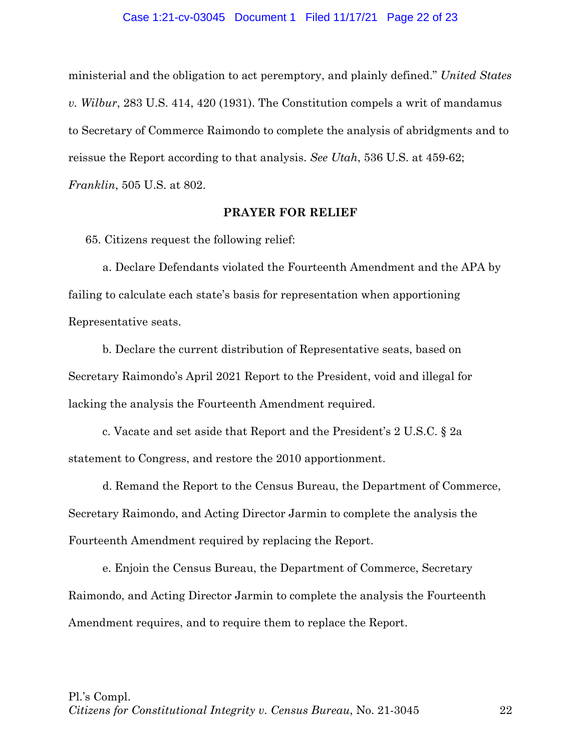### Case 1:21-cv-03045 Document 1 Filed 11/17/21 Page 22 of 23

ministerial and the obligation to act peremptory, and plainly defined." *United States v. Wilbur*, 283 U.S. 414, 420 (1931). The Constitution compels a writ of mandamus to Secretary of Commerce Raimondo to complete the analysis of abridgments and to reissue the Report according to that analysis. *See Utah*, 536 U.S. at 459-62;

*Franklin*, 505 U.S. at 802.

### **PRAYER FOR RELIEF**

65. Citizens request the following relief:

a. Declare Defendants violated the Fourteenth Amendment and the APA by failing to calculate each state's basis for representation when apportioning Representative seats.

b. Declare the current distribution of Representative seats, based on Secretary Raimondo's April 2021 Report to the President, void and illegal for lacking the analysis the Fourteenth Amendment required.

c. Vacate and set aside that Report and the President's 2 U.S.C. § 2a statement to Congress, and restore the 2010 apportionment.

d. Remand the Report to the Census Bureau, the Department of Commerce, Secretary Raimondo, and Acting Director Jarmin to complete the analysis the Fourteenth Amendment required by replacing the Report.

e. Enjoin the Census Bureau, the Department of Commerce, Secretary Raimondo, and Acting Director Jarmin to complete the analysis the Fourteenth Amendment requires, and to require them to replace the Report.